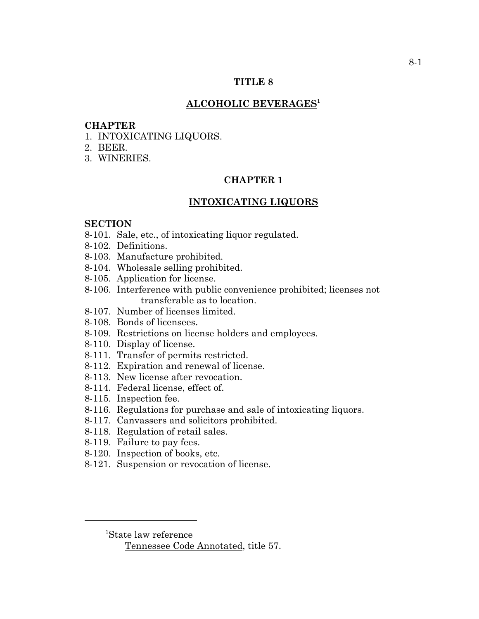### **TITLE 8**

## **ALCOHOLIC BEVERAGES1**

#### **CHAPTER**

- 1. INTOXICATING LIQUORS.
- 2. BEER.
- 3. WINERIES.

## **CHAPTER 1**

## **INTOXICATING LIQUORS**

#### **SECTION**

- 8-101. Sale, etc., of intoxicating liquor regulated.
- 8-102. Definitions.
- 8-103. Manufacture prohibited.
- 8-104. Wholesale selling prohibited.
- 8-105. Application for license.
- 8-106. Interference with public convenience prohibited; licenses not transferable as to location.
- 8-107. Number of licenses limited.
- 8-108. Bonds of licensees.
- 8-109. Restrictions on license holders and employees.
- 8-110. Display of license.
- 8-111. Transfer of permits restricted.
- 8-112. Expiration and renewal of license.
- 8-113. New license after revocation.
- 8-114. Federal license, effect of.
- 8-115. Inspection fee.
- 8-116. Regulations for purchase and sale of intoxicating liquors.
- 8-117. Canvassers and solicitors prohibited.
- 8-118. Regulation of retail sales.
- 8-119. Failure to pay fees.
- 8-120. Inspection of books, etc.
- 8-121. Suspension or revocation of license.

<sup>1</sup> State law reference

Tennessee Code Annotated, title 57.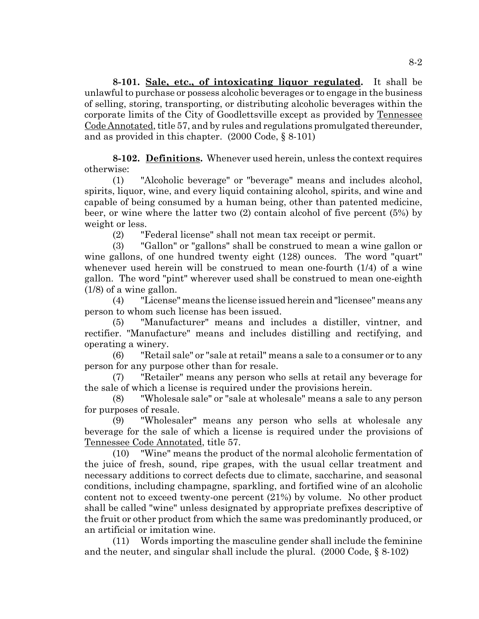**8-101. Sale, etc., of intoxicating liquor regulated.** It shall be unlawful to purchase or possess alcoholic beverages or to engage in the business of selling, storing, transporting, or distributing alcoholic beverages within the corporate limits of the City of Goodlettsville except as provided by Tennessee Code Annotated, title 57, and by rules and regulations promulgated thereunder, and as provided in this chapter. (2000 Code, § 8-101)

**8-102. Definitions.** Whenever used herein, unless the context requires otherwise:

(1) "Alcoholic beverage" or "beverage" means and includes alcohol, spirits, liquor, wine, and every liquid containing alcohol, spirits, and wine and capable of being consumed by a human being, other than patented medicine, beer, or wine where the latter two (2) contain alcohol of five percent (5%) by weight or less.

(2) "Federal license" shall not mean tax receipt or permit.

(3) "Gallon" or "gallons" shall be construed to mean a wine gallon or wine gallons, of one hundred twenty eight (128) ounces. The word "quart" whenever used herein will be construed to mean one-fourth (1/4) of a wine gallon. The word "pint" wherever used shall be construed to mean one-eighth (1/8) of a wine gallon.

(4) "License" means the license issued herein and "licensee" means any person to whom such license has been issued.

(5) "Manufacturer" means and includes a distiller, vintner, and rectifier. "Manufacture" means and includes distilling and rectifying, and operating a winery.

(6) "Retail sale" or "sale at retail" means a sale to a consumer or to any person for any purpose other than for resale.

(7) "Retailer" means any person who sells at retail any beverage for the sale of which a license is required under the provisions herein.

(8) "Wholesale sale" or "sale at wholesale" means a sale to any person for purposes of resale.

(9) "Wholesaler" means any person who sells at wholesale any beverage for the sale of which a license is required under the provisions of Tennessee Code Annotated, title 57.

(10) "Wine" means the product of the normal alcoholic fermentation of the juice of fresh, sound, ripe grapes, with the usual cellar treatment and necessary additions to correct defects due to climate, saccharine, and seasonal conditions, including champagne, sparkling, and fortified wine of an alcoholic content not to exceed twenty-one percent (21%) by volume. No other product shall be called "wine" unless designated by appropriate prefixes descriptive of the fruit or other product from which the same was predominantly produced, or an artificial or imitation wine.

(11) Words importing the masculine gender shall include the feminine and the neuter, and singular shall include the plural. (2000 Code, § 8-102)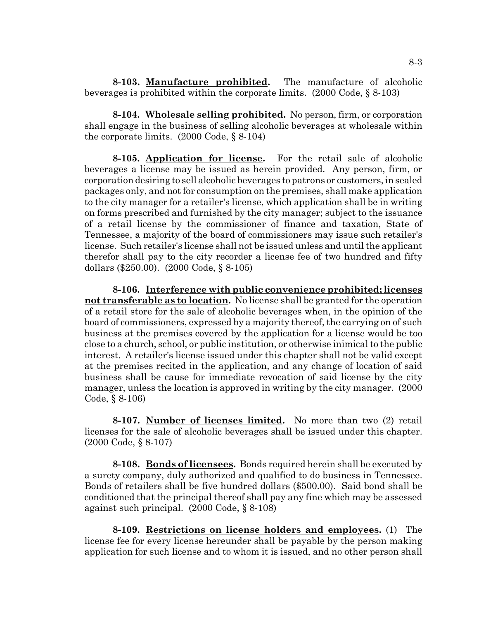**8-103. Manufacture prohibited.** The manufacture of alcoholic beverages is prohibited within the corporate limits. (2000 Code, § 8-103)

**8-104. Wholesale selling prohibited.** No person, firm, or corporation shall engage in the business of selling alcoholic beverages at wholesale within the corporate limits. (2000 Code, § 8-104)

**8-105. Application for license.** For the retail sale of alcoholic beverages a license may be issued as herein provided. Any person, firm, or corporation desiring to sell alcoholic beverages to patrons or customers, in sealed packages only, and not for consumption on the premises, shall make application to the city manager for a retailer's license, which application shall be in writing on forms prescribed and furnished by the city manager; subject to the issuance of a retail license by the commissioner of finance and taxation, State of Tennessee, a majority of the board of commissioners may issue such retailer's license. Such retailer's license shall not be issued unless and until the applicant therefor shall pay to the city recorder a license fee of two hundred and fifty dollars (\$250.00). (2000 Code, § 8-105)

**8-106. Interference with public convenience prohibited; licenses not transferable as to location.** No license shall be granted for the operation of a retail store for the sale of alcoholic beverages when, in the opinion of the board of commissioners, expressed by a majority thereof, the carrying on of such business at the premises covered by the application for a license would be too close to a church, school, or public institution, or otherwise inimical to the public interest. A retailer's license issued under this chapter shall not be valid except at the premises recited in the application, and any change of location of said business shall be cause for immediate revocation of said license by the city manager, unless the location is approved in writing by the city manager. (2000 Code, § 8-106)

**8-107. Number of licenses limited.** No more than two (2) retail licenses for the sale of alcoholic beverages shall be issued under this chapter. (2000 Code, § 8-107)

**8-108. Bonds of licensees.** Bonds required herein shall be executed by a surety company, duly authorized and qualified to do business in Tennessee. Bonds of retailers shall be five hundred dollars (\$500.00). Said bond shall be conditioned that the principal thereof shall pay any fine which may be assessed against such principal. (2000 Code, § 8-108)

**8-109. Restrictions on license holders and employees.** (1) The license fee for every license hereunder shall be payable by the person making application for such license and to whom it is issued, and no other person shall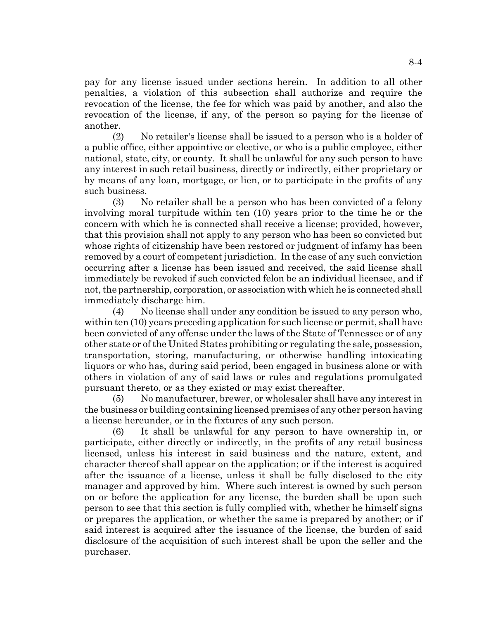pay for any license issued under sections herein. In addition to all other penalties, a violation of this subsection shall authorize and require the revocation of the license, the fee for which was paid by another, and also the revocation of the license, if any, of the person so paying for the license of another.

(2) No retailer's license shall be issued to a person who is a holder of a public office, either appointive or elective, or who is a public employee, either national, state, city, or county. It shall be unlawful for any such person to have any interest in such retail business, directly or indirectly, either proprietary or by means of any loan, mortgage, or lien, or to participate in the profits of any such business.

(3) No retailer shall be a person who has been convicted of a felony involving moral turpitude within ten (10) years prior to the time he or the concern with which he is connected shall receive a license; provided, however, that this provision shall not apply to any person who has been so convicted but whose rights of citizenship have been restored or judgment of infamy has been removed by a court of competent jurisdiction. In the case of any such conviction occurring after a license has been issued and received, the said license shall immediately be revoked if such convicted felon be an individual licensee, and if not, the partnership, corporation, or association with which he is connected shall immediately discharge him.

(4) No license shall under any condition be issued to any person who, within ten (10) years preceding application for such license or permit, shall have been convicted of any offense under the laws of the State of Tennessee or of any other state or of the United States prohibiting or regulating the sale, possession, transportation, storing, manufacturing, or otherwise handling intoxicating liquors or who has, during said period, been engaged in business alone or with others in violation of any of said laws or rules and regulations promulgated pursuant thereto, or as they existed or may exist thereafter.

(5) No manufacturer, brewer, or wholesaler shall have any interest in the business or building containing licensed premises of any other person having a license hereunder, or in the fixtures of any such person.

(6) It shall be unlawful for any person to have ownership in, or participate, either directly or indirectly, in the profits of any retail business licensed, unless his interest in said business and the nature, extent, and character thereof shall appear on the application; or if the interest is acquired after the issuance of a license, unless it shall be fully disclosed to the city manager and approved by him. Where such interest is owned by such person on or before the application for any license, the burden shall be upon such person to see that this section is fully complied with, whether he himself signs or prepares the application, or whether the same is prepared by another; or if said interest is acquired after the issuance of the license, the burden of said disclosure of the acquisition of such interest shall be upon the seller and the purchaser.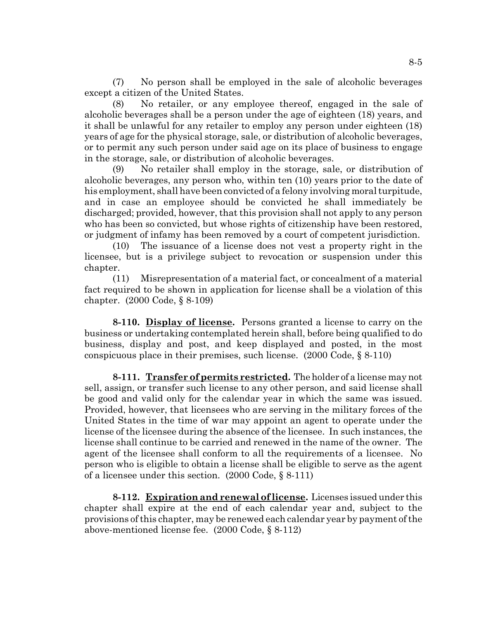(7) No person shall be employed in the sale of alcoholic beverages except a citizen of the United States.

(8) No retailer, or any employee thereof, engaged in the sale of alcoholic beverages shall be a person under the age of eighteen (18) years, and it shall be unlawful for any retailer to employ any person under eighteen (18) years of age for the physical storage, sale, or distribution of alcoholic beverages, or to permit any such person under said age on its place of business to engage in the storage, sale, or distribution of alcoholic beverages.

(9) No retailer shall employ in the storage, sale, or distribution of alcoholic beverages, any person who, within ten (10) years prior to the date of his employment, shall have been convicted of a felony involving moral turpitude, and in case an employee should be convicted he shall immediately be discharged; provided, however, that this provision shall not apply to any person who has been so convicted, but whose rights of citizenship have been restored, or judgment of infamy has been removed by a court of competent jurisdiction.

(10) The issuance of a license does not vest a property right in the licensee, but is a privilege subject to revocation or suspension under this chapter.

(11) Misrepresentation of a material fact, or concealment of a material fact required to be shown in application for license shall be a violation of this chapter. (2000 Code, § 8-109)

**8-110. Display of license.** Persons granted a license to carry on the business or undertaking contemplated herein shall, before being qualified to do business, display and post, and keep displayed and posted, in the most conspicuous place in their premises, such license. (2000 Code, § 8-110)

**8-111. Transfer of permits restricted.** The holder of a license may not sell, assign, or transfer such license to any other person, and said license shall be good and valid only for the calendar year in which the same was issued. Provided, however, that licensees who are serving in the military forces of the United States in the time of war may appoint an agent to operate under the license of the licensee during the absence of the licensee. In such instances, the license shall continue to be carried and renewed in the name of the owner. The agent of the licensee shall conform to all the requirements of a licensee. No person who is eligible to obtain a license shall be eligible to serve as the agent of a licensee under this section. (2000 Code, § 8-111)

**8-112. Expiration and renewal of license.** Licenses issued under this chapter shall expire at the end of each calendar year and, subject to the provisions of this chapter, may be renewed each calendar year by payment of the above-mentioned license fee. (2000 Code, § 8-112)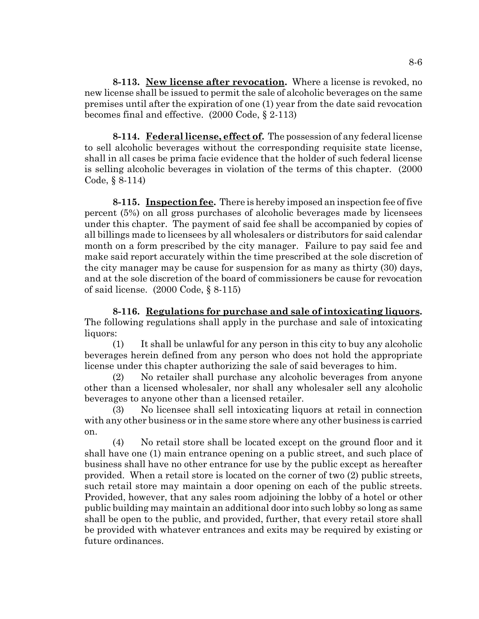**8-113. New license after revocation.** Where a license is revoked, no new license shall be issued to permit the sale of alcoholic beverages on the same premises until after the expiration of one (1) year from the date said revocation becomes final and effective. (2000 Code, § 2-113)

**8-114. Federal license, effect of.** The possession of any federal license to sell alcoholic beverages without the corresponding requisite state license, shall in all cases be prima facie evidence that the holder of such federal license is selling alcoholic beverages in violation of the terms of this chapter. (2000 Code, § 8-114)

**8-115. Inspection fee.** There is hereby imposed an inspection fee of five percent (5%) on all gross purchases of alcoholic beverages made by licensees under this chapter. The payment of said fee shall be accompanied by copies of all billings made to licensees by all wholesalers or distributors for said calendar month on a form prescribed by the city manager. Failure to pay said fee and make said report accurately within the time prescribed at the sole discretion of the city manager may be cause for suspension for as many as thirty (30) days, and at the sole discretion of the board of commissioners be cause for revocation of said license. (2000 Code, § 8-115)

**8-116. Regulations for purchase and sale of intoxicating liquors.** The following regulations shall apply in the purchase and sale of intoxicating liquors:

(1) It shall be unlawful for any person in this city to buy any alcoholic beverages herein defined from any person who does not hold the appropriate license under this chapter authorizing the sale of said beverages to him.

(2) No retailer shall purchase any alcoholic beverages from anyone other than a licensed wholesaler, nor shall any wholesaler sell any alcoholic beverages to anyone other than a licensed retailer.

(3) No licensee shall sell intoxicating liquors at retail in connection with any other business or in the same store where any other business is carried on.

(4) No retail store shall be located except on the ground floor and it shall have one (1) main entrance opening on a public street, and such place of business shall have no other entrance for use by the public except as hereafter provided. When a retail store is located on the corner of two (2) public streets, such retail store may maintain a door opening on each of the public streets. Provided, however, that any sales room adjoining the lobby of a hotel or other public building may maintain an additional door into such lobby so long as same shall be open to the public, and provided, further, that every retail store shall be provided with whatever entrances and exits may be required by existing or future ordinances.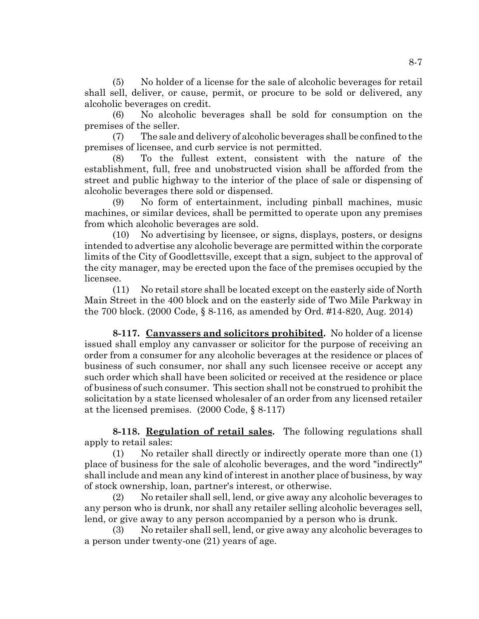(5) No holder of a license for the sale of alcoholic beverages for retail shall sell, deliver, or cause, permit, or procure to be sold or delivered, any alcoholic beverages on credit.

(6) No alcoholic beverages shall be sold for consumption on the premises of the seller.

(7) The sale and delivery of alcoholic beverages shall be confined to the premises of licensee, and curb service is not permitted.

(8) To the fullest extent, consistent with the nature of the establishment, full, free and unobstructed vision shall be afforded from the street and public highway to the interior of the place of sale or dispensing of alcoholic beverages there sold or dispensed.

(9) No form of entertainment, including pinball machines, music machines, or similar devices, shall be permitted to operate upon any premises from which alcoholic beverages are sold.

(10) No advertising by licensee, or signs, displays, posters, or designs intended to advertise any alcoholic beverage are permitted within the corporate limits of the City of Goodlettsville, except that a sign, subject to the approval of the city manager, may be erected upon the face of the premises occupied by the licensee.

(11) No retail store shall be located except on the easterly side of North Main Street in the 400 block and on the easterly side of Two Mile Parkway in the 700 block. (2000 Code, § 8-116, as amended by Ord. #14-820, Aug. 2014)

**8-117. Canvassers and solicitors prohibited.** No holder of a license issued shall employ any canvasser or solicitor for the purpose of receiving an order from a consumer for any alcoholic beverages at the residence or places of business of such consumer, nor shall any such licensee receive or accept any such order which shall have been solicited or received at the residence or place of business of such consumer. This section shall not be construed to prohibit the solicitation by a state licensed wholesaler of an order from any licensed retailer at the licensed premises. (2000 Code, § 8-117)

**8-118. Regulation of retail sales.** The following regulations shall apply to retail sales:

(1) No retailer shall directly or indirectly operate more than one (1) place of business for the sale of alcoholic beverages, and the word "indirectly" shall include and mean any kind of interest in another place of business, by way of stock ownership, loan, partner's interest, or otherwise.

(2) No retailer shall sell, lend, or give away any alcoholic beverages to any person who is drunk, nor shall any retailer selling alcoholic beverages sell, lend, or give away to any person accompanied by a person who is drunk.

(3) No retailer shall sell, lend, or give away any alcoholic beverages to a person under twenty-one (21) years of age.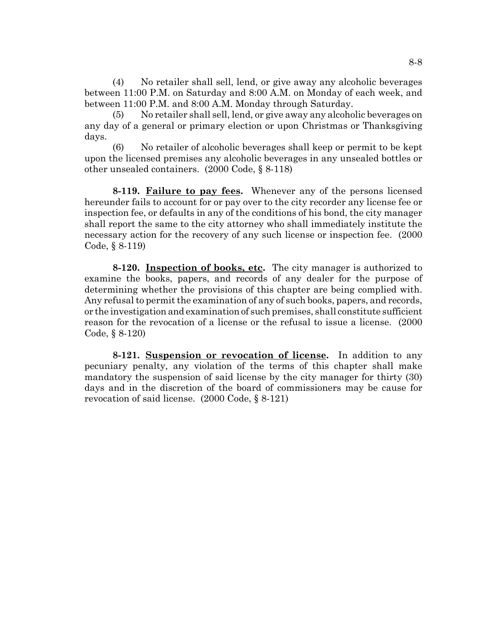(4) No retailer shall sell, lend, or give away any alcoholic beverages between 11:00 P.M. on Saturday and 8:00 A.M. on Monday of each week, and between 11:00 P.M. and 8:00 A.M. Monday through Saturday.

(5) No retailer shall sell, lend, or give away any alcoholic beverages on any day of a general or primary election or upon Christmas or Thanksgiving days.

(6) No retailer of alcoholic beverages shall keep or permit to be kept upon the licensed premises any alcoholic beverages in any unsealed bottles or other unsealed containers. (2000 Code, § 8-118)

**8-119. Failure to pay fees.** Whenever any of the persons licensed hereunder fails to account for or pay over to the city recorder any license fee or inspection fee, or defaults in any of the conditions of his bond, the city manager shall report the same to the city attorney who shall immediately institute the necessary action for the recovery of any such license or inspection fee. (2000 Code, § 8-119)

**8-120. Inspection of books, etc.** The city manager is authorized to examine the books, papers, and records of any dealer for the purpose of determining whether the provisions of this chapter are being complied with. Any refusal to permit the examination of any of such books, papers, and records, or the investigation and examination of such premises, shall constitute sufficient reason for the revocation of a license or the refusal to issue a license. (2000 Code, § 8-120)

**8-121. Suspension or revocation of license.** In addition to any pecuniary penalty, any violation of the terms of this chapter shall make mandatory the suspension of said license by the city manager for thirty (30) days and in the discretion of the board of commissioners may be cause for revocation of said license. (2000 Code, § 8-121)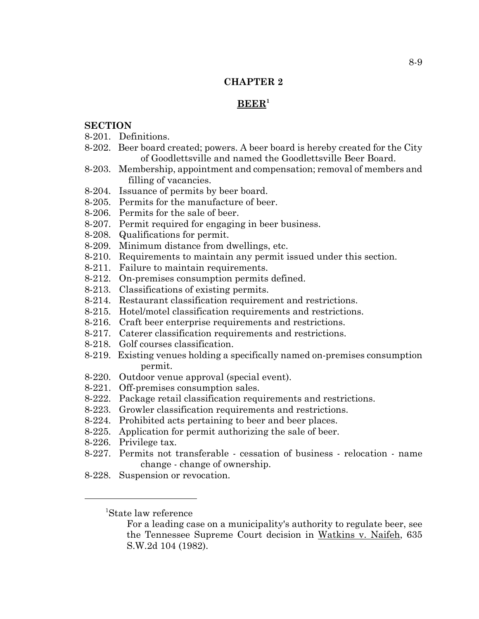## **CHAPTER 2**

### **BEER1**

## **SECTION**

- 8-201. Definitions.
- 8-202. Beer board created; powers. A beer board is hereby created for the City of Goodlettsville and named the Goodlettsville Beer Board.
- 8-203. Membership, appointment and compensation; removal of members and filling of vacancies.
- 8-204. Issuance of permits by beer board.
- 8-205. Permits for the manufacture of beer.
- 8-206. Permits for the sale of beer.
- 8-207. Permit required for engaging in beer business.
- 8-208. Qualifications for permit.
- 8-209. Minimum distance from dwellings, etc.
- 8-210. Requirements to maintain any permit issued under this section.
- 8-211. Failure to maintain requirements.
- 8-212. On-premises consumption permits defined.
- 8-213. Classifications of existing permits.
- 8-214. Restaurant classification requirement and restrictions.
- 8-215. Hotel/motel classification requirements and restrictions.
- 8-216. Craft beer enterprise requirements and restrictions.
- 8-217. Caterer classification requirements and restrictions.
- 8-218. Golf courses classification.
- 8-219. Existing venues holding a specifically named on-premises consumption permit.
- 8-220. Outdoor venue approval (special event).
- 8-221. Off-premises consumption sales.
- 8-222. Package retail classification requirements and restrictions.
- 8-223. Growler classification requirements and restrictions.
- 8-224. Prohibited acts pertaining to beer and beer places.
- 8-225. Application for permit authorizing the sale of beer.
- 8-226. Privilege tax.
- 8-227. Permits not transferable cessation of business relocation name change - change of ownership.
- 8-228. Suspension or revocation.

<sup>1</sup> State law reference

For a leading case on a municipality's authority to regulate beer, see the Tennessee Supreme Court decision in Watkins v. Naifeh, 635 S.W.2d 104 (1982).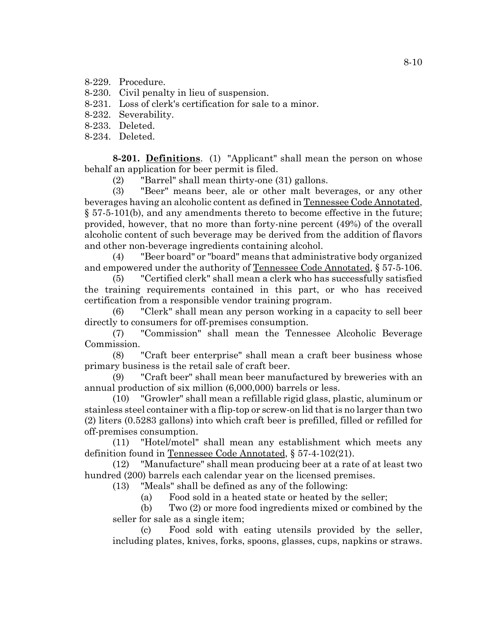8-229. Procedure.

8-230. Civil penalty in lieu of suspension.

8-231. Loss of clerk's certification for sale to a minor.

8-232. Severability.

8-233. Deleted.

8-234. Deleted.

**8-201. Definitions**. (1) "Applicant" shall mean the person on whose behalf an application for beer permit is filed.

(2) "Barrel" shall mean thirty-one (31) gallons.

(3) "Beer" means beer, ale or other malt beverages, or any other beverages having an alcoholic content as defined in Tennessee Code Annotated, § 57-5-101(b), and any amendments thereto to become effective in the future; provided, however, that no more than forty-nine percent (49%) of the overall alcoholic content of such beverage may be derived from the addition of flavors and other non-beverage ingredients containing alcohol.

(4) "Beer board" or "board" means that administrative body organized and empowered under the authority of Tennessee Code Annotated, § 57-5-106.

(5) "Certified clerk" shall mean a clerk who has successfully satisfied the training requirements contained in this part, or who has received certification from a responsible vendor training program.

(6) "Clerk" shall mean any person working in a capacity to sell beer directly to consumers for off-premises consumption.

(7) "Commission" shall mean the Tennessee Alcoholic Beverage Commission.

(8) "Craft beer enterprise" shall mean a craft beer business whose primary business is the retail sale of craft beer.

(9) "Craft beer" shall mean beer manufactured by breweries with an annual production of six million (6,000,000) barrels or less.

(10) "Growler" shall mean a refillable rigid glass, plastic, aluminum or stainless steel container with a flip-top or screw-on lid that is no larger than two (2) liters (0.5283 gallons) into which craft beer is prefilled, filled or refilled for off-premises consumption.

(11) "Hotel/motel" shall mean any establishment which meets any definition found in Tennessee Code Annotated, § 57-4-102(21).

(12) "Manufacture" shall mean producing beer at a rate of at least two hundred (200) barrels each calendar year on the licensed premises.

(13) "Meals" shall be defined as any of the following:

(a) Food sold in a heated state or heated by the seller;

(b) Two (2) or more food ingredients mixed or combined by the seller for sale as a single item;

(c) Food sold with eating utensils provided by the seller, including plates, knives, forks, spoons, glasses, cups, napkins or straws.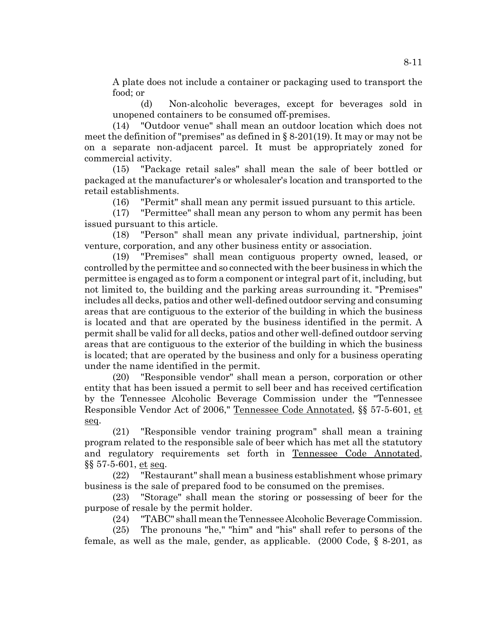A plate does not include a container or packaging used to transport the food; or

(d) Non-alcoholic beverages, except for beverages sold in unopened containers to be consumed off-premises.

(14) "Outdoor venue" shall mean an outdoor location which does not meet the definition of "premises" as defined in § 8-201(19). It may or may not be on a separate non-adjacent parcel. It must be appropriately zoned for commercial activity.

(15) "Package retail sales" shall mean the sale of beer bottled or packaged at the manufacturer's or wholesaler's location and transported to the retail establishments.

(16) "Permit" shall mean any permit issued pursuant to this article.

(17) "Permittee" shall mean any person to whom any permit has been issued pursuant to this article.

(18) "Person" shall mean any private individual, partnership, joint venture, corporation, and any other business entity or association.

(19) "Premises" shall mean contiguous property owned, leased, or controlled by the permittee and so connected with the beer business in which the permittee is engaged as to form a component or integral part of it, including, but not limited to, the building and the parking areas surrounding it. "Premises" includes all decks, patios and other well-defined outdoor serving and consuming areas that are contiguous to the exterior of the building in which the business is located and that are operated by the business identified in the permit. A permit shall be valid for all decks, patios and other well-defined outdoor serving areas that are contiguous to the exterior of the building in which the business is located; that are operated by the business and only for a business operating under the name identified in the permit.

(20) "Responsible vendor" shall mean a person, corporation or other entity that has been issued a permit to sell beer and has received certification by the Tennessee Alcoholic Beverage Commission under the "Tennessee Responsible Vendor Act of 2006," Tennessee Code Annotated, §§ 57-5-601, et seq.

(21) "Responsible vendor training program" shall mean a training program related to the responsible sale of beer which has met all the statutory and regulatory requirements set forth in Tennessee Code Annotated, §§ 57-5-601, et seq.

(22) "Restaurant" shall mean a business establishment whose primary business is the sale of prepared food to be consumed on the premises.

(23) "Storage" shall mean the storing or possessing of beer for the purpose of resale by the permit holder.

(24) "TABC" shall mean the Tennessee Alcoholic Beverage Commission.

(25) The pronouns "he," "him" and "his" shall refer to persons of the female, as well as the male, gender, as applicable. (2000 Code, § 8-201, as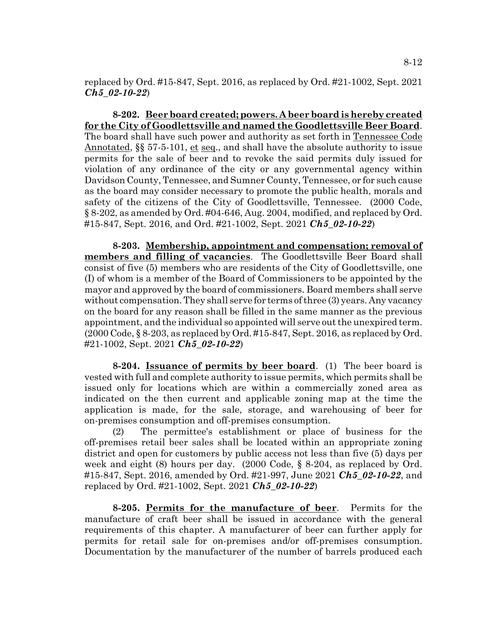replaced by Ord. #15-847, Sept. 2016, as replaced by Ord. #21-1002, Sept. 2021 *Ch5\_02-10-22*)

**8-202. Beer board created; powers. A beer board is hereby created for the City of Goodlettsville and named the Goodlettsville Beer Board**. The board shall have such power and authority as set forth in Tennessee Code Annotated, §§ 57-5-101, et seq., and shall have the absolute authority to issue permits for the sale of beer and to revoke the said permits duly issued for violation of any ordinance of the city or any governmental agency within Davidson County, Tennessee, and Sumner County, Tennessee, or for such cause as the board may consider necessary to promote the public health, morals and safety of the citizens of the City of Goodlettsville, Tennessee. (2000 Code, § 8-202, as amended by Ord. #04-646, Aug. 2004, modified, and replaced by Ord. #15-847, Sept. 2016, and Ord. #21-1002, Sept. 2021 *Ch5\_02-10-22*)

**8-203. Membership, appointment and compensation; removal of members and filling of vacancies**. The Goodlettsville Beer Board shall consist of five (5) members who are residents of the City of Goodlettsville, one (I) of whom is a member of the Board of Commissioners to be appointed by the mayor and approved by the board of commissioners. Board members shall serve without compensation. They shall serve for terms of three (3) years. Any vacancy on the board for any reason shall be filled in the same manner as the previous appointment, and the individual so appointed will serve out the unexpired term.  $(2000 \text{ Code}, \S 8-203, \text{as replaced by Ord}, \#15-847, \text{Sept. } 2016, \text{as replaced by Ord}.$ #21-1002, Sept. 2021 *Ch5\_02-10-22*)

**8-204. Issuance of permits by beer board**. (1) The beer board is vested with full and complete authority to issue permits, which permits shall be issued only for locations which are within a commercially zoned area as indicated on the then current and applicable zoning map at the time the application is made, for the sale, storage, and warehousing of beer for on-premises consumption and off-premises consumption.

(2) The permittee's establishment or place of business for the off-premises retail beer sales shall be located within an appropriate zoning district and open for customers by public access not less than five (5) days per week and eight (8) hours per day. (2000 Code, § 8-204, as replaced by Ord. #15-847, Sept. 2016, amended by Ord. #21-997, June 2021 *Ch5\_02-10-22*, and replaced by Ord. #21-1002, Sept. 2021 *Ch5\_02-10-22*)

**8-205. Permits for the manufacture of beer**. Permits for the manufacture of craft beer shall be issued in accordance with the general requirements of this chapter. A manufacturer of beer can further apply for permits for retail sale for on-premises and/or off-premises consumption. Documentation by the manufacturer of the number of barrels produced each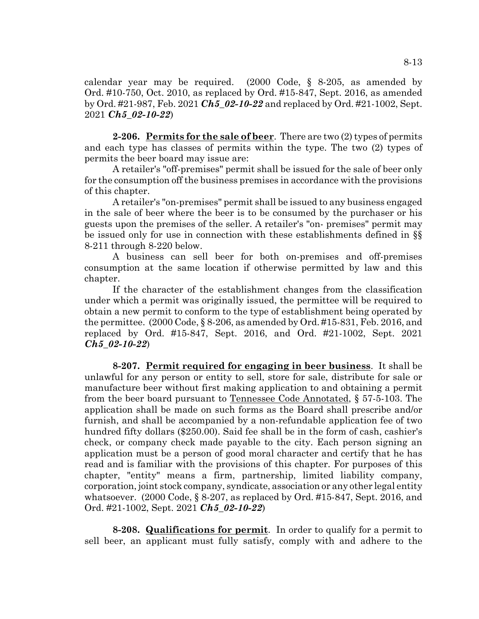calendar year may be required. (2000 Code, § 8-205, as amended by Ord. #10-750, Oct. 2010, as replaced by Ord. #15-847, Sept. 2016, as amended by Ord. #21-987, Feb. 2021 *Ch5\_02-10-22* and replaced by Ord. #21-1002, Sept. 2021 *Ch5\_02-10-22*)

**2-206. Permits for the sale of beer**. There are two (2) types of permits and each type has classes of permits within the type. The two (2) types of permits the beer board may issue are:

A retailer's "off-premises" permit shall be issued for the sale of beer only for the consumption off the business premises in accordance with the provisions of this chapter.

A retailer's "on-premises" permit shall be issued to any business engaged in the sale of beer where the beer is to be consumed by the purchaser or his guests upon the premises of the seller. A retailer's "on- premises" permit may be issued only for use in connection with these establishments defined in §§ 8-211 through 8-220 below.

A business can sell beer for both on-premises and off-premises consumption at the same location if otherwise permitted by law and this chapter.

If the character of the establishment changes from the classification under which a permit was originally issued, the permittee will be required to obtain a new permit to conform to the type of establishment being operated by the permittee. (2000 Code, § 8-206, as amended by Ord. #15-831, Feb. 2016, and replaced by Ord. #15-847, Sept. 2016, and Ord. #21-1002, Sept. 2021 *Ch5\_02-10-22*)

**8-207. Permit required for engaging in beer business**. It shall be unlawful for any person or entity to sell, store for sale, distribute for sale or manufacture beer without first making application to and obtaining a permit from the beer board pursuant to Tennessee Code Annotated, § 57-5-103. The application shall be made on such forms as the Board shall prescribe and/or furnish, and shall be accompanied by a non-refundable application fee of two hundred fifty dollars (\$250.00). Said fee shall be in the form of cash, cashier's check, or company check made payable to the city. Each person signing an application must be a person of good moral character and certify that he has read and is familiar with the provisions of this chapter. For purposes of this chapter, "entity" means a firm, partnership, limited liability company, corporation, joint stock company, syndicate, association or any other legal entity whatsoever. (2000 Code, § 8-207, as replaced by Ord. #15-847, Sept. 2016, and Ord. #21-1002, Sept. 2021 *Ch5\_02-10-22*)

**8-208. Qualifications for permit**. In order to qualify for a permit to sell beer, an applicant must fully satisfy, comply with and adhere to the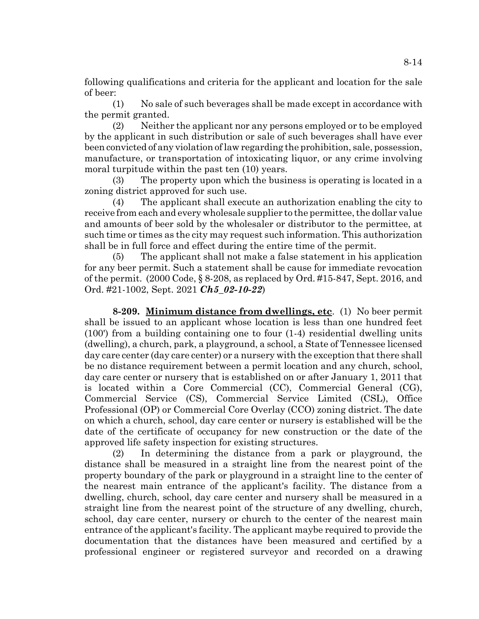following qualifications and criteria for the applicant and location for the sale of beer:

(1) No sale of such beverages shall be made except in accordance with the permit granted.

(2) Neither the applicant nor any persons employed or to be employed by the applicant in such distribution or sale of such beverages shall have ever been convicted of any violation of law regarding the prohibition, sale, possession, manufacture, or transportation of intoxicating liquor, or any crime involving moral turpitude within the past ten (10) years.

(3) The property upon which the business is operating is located in a zoning district approved for such use.

(4) The applicant shall execute an authorization enabling the city to receive from each and every wholesale supplier to the permittee, the dollar value and amounts of beer sold by the wholesaler or distributor to the permittee, at such time or times as the city may request such information. This authorization shall be in full force and effect during the entire time of the permit.

(5) The applicant shall not make a false statement in his application for any beer permit. Such a statement shall be cause for immediate revocation of the permit. (2000 Code, § 8-208, as replaced by Ord. #15-847, Sept. 2016, and Ord. #21-1002, Sept. 2021 *Ch5\_02-10-22*)

**8-209. Minimum distance from dwellings, etc**. (1) No beer permit shall be issued to an applicant whose location is less than one hundred feet (100') from a building containing one to four (1-4) residential dwelling units (dwelling), a church, park, a playground, a school, a State of Tennessee licensed day care center (day care center) or a nursery with the exception that there shall be no distance requirement between a permit location and any church, school, day care center or nursery that is established on or after January 1, 2011 that is located within a Core Commercial (CC), Commercial General (CG), Commercial Service (CS), Commercial Service Limited (CSL), Office Professional (OP) or Commercial Core Overlay (CCO) zoning district. The date on which a church, school, day care center or nursery is established will be the date of the certificate of occupancy for new construction or the date of the approved life safety inspection for existing structures.

(2) In determining the distance from a park or playground, the distance shall be measured in a straight line from the nearest point of the property boundary of the park or playground in a straight line to the center of the nearest main entrance of the applicant's facility. The distance from a dwelling, church, school, day care center and nursery shall be measured in a straight line from the nearest point of the structure of any dwelling, church, school, day care center, nursery or church to the center of the nearest main entrance of the applicant's facility. The applicant maybe required to provide the documentation that the distances have been measured and certified by a professional engineer or registered surveyor and recorded on a drawing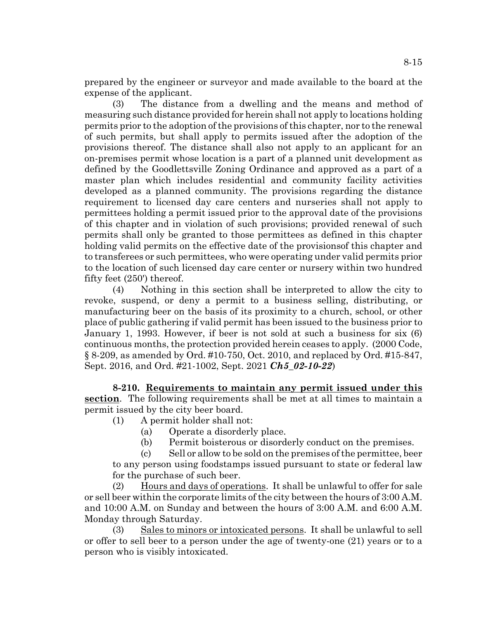prepared by the engineer or surveyor and made available to the board at the expense of the applicant.

(3) The distance from a dwelling and the means and method of measuring such distance provided for herein shall not apply to locations holding permits prior to the adoption of the provisions of this chapter, nor to the renewal of such permits, but shall apply to permits issued after the adoption of the provisions thereof. The distance shall also not apply to an applicant for an on-premises permit whose location is a part of a planned unit development as defined by the Goodlettsville Zoning Ordinance and approved as a part of a master plan which includes residential and community facility activities developed as a planned community. The provisions regarding the distance requirement to licensed day care centers and nurseries shall not apply to permittees holding a permit issued prior to the approval date of the provisions of this chapter and in violation of such provisions; provided renewal of such permits shall only be granted to those permittees as defined in this chapter holding valid permits on the effective date of the provisionsof this chapter and to transferees or such permittees, who were operating under valid permits prior to the location of such licensed day care center or nursery within two hundred fifty feet (250') thereof.

(4) Nothing in this section shall be interpreted to allow the city to revoke, suspend, or deny a permit to a business selling, distributing, or manufacturing beer on the basis of its proximity to a church, school, or other place of public gathering if valid permit has been issued to the business prior to January 1, 1993. However, if beer is not sold at such a business for six (6) continuous months, the protection provided herein ceases to apply. (2000 Code, § 8-209, as amended by Ord. #10-750, Oct. 2010, and replaced by Ord. #15-847, Sept. 2016, and Ord. #21-1002, Sept. 2021 *Ch5\_02-10-22*)

**8-210. Requirements to maintain any permit issued under this section**. The following requirements shall be met at all times to maintain a permit issued by the city beer board.

- (1) A permit holder shall not:
	- (a) Operate a disorderly place.
	- (b) Permit boisterous or disorderly conduct on the premises.

(c) Sell or allow to be sold on the premises of the permittee, beer to any person using foodstamps issued pursuant to state or federal law for the purchase of such beer.

(2) Hours and days of operations. It shall be unlawful to offer for sale or sell beer within the corporate limits of the city between the hours of 3:00 A.M. and 10:00 A.M. on Sunday and between the hours of 3:00 A.M. and 6:00 A.M. Monday through Saturday.

(3) Sales to minors or intoxicated persons. It shall be unlawful to sell or offer to sell beer to a person under the age of twenty-one (21) years or to a person who is visibly intoxicated.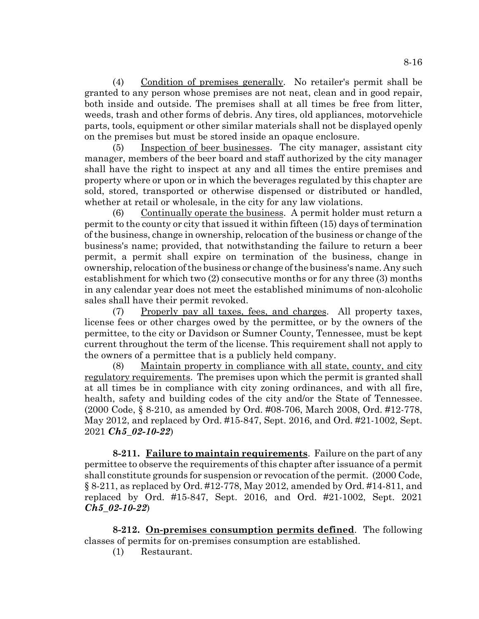(4) Condition of premises generally. No retailer's permit shall be granted to any person whose premises are not neat, clean and in good repair, both inside and outside. The premises shall at all times be free from litter, weeds, trash and other forms of debris. Any tires, old appliances, motorvehicle parts, tools, equipment or other similar materials shall not be displayed openly on the premises but must be stored inside an opaque enclosure.

(5) Inspection of beer businesses. The city manager, assistant city manager, members of the beer board and staff authorized by the city manager shall have the right to inspect at any and all times the entire premises and property where or upon or in which the beverages regulated by this chapter are sold, stored, transported or otherwise dispensed or distributed or handled, whether at retail or wholesale, in the city for any law violations.

(6) Continually operate the business. A permit holder must return a permit to the county or city that issued it within fifteen (15) days of termination of the business, change in ownership, relocation of the business or change of the business's name; provided, that notwithstanding the failure to return a beer permit, a permit shall expire on termination of the business, change in ownership, relocation of the business or change of the business's name. Any such establishment for which two (2) consecutive months or for any three (3) months in any calendar year does not meet the established minimums of non-alcoholic sales shall have their permit revoked.

(7) Properly pay all taxes, fees, and charges. All property taxes, license fees or other charges owed by the permittee, or by the owners of the permittee, to the city or Davidson or Sumner County, Tennessee, must be kept current throughout the term of the license. This requirement shall not apply to the owners of a permittee that is a publicly held company.

(8) Maintain property in compliance with all state, county, and city regulatory requirements. The premises upon which the permit is granted shall at all times be in compliance with city zoning ordinances, and with all fire, health, safety and building codes of the city and/or the State of Tennessee. (2000 Code, § 8-210, as amended by Ord. #08-706, March 2008, Ord. #12-778, May 2012, and replaced by Ord. #15-847, Sept. 2016, and Ord. #21-1002, Sept. 2021 *Ch5\_02-10-22*)

**8-211. Failure to maintain requirements**. Failure on the part of any permittee to observe the requirements of this chapter after issuance of a permit shall constitute grounds for suspension or revocation of the permit. (2000 Code, § 8-211, as replaced by Ord. #12-778, May 2012, amended by Ord. #14-811, and replaced by Ord. #15-847, Sept. 2016, and Ord. #21-1002, Sept. 2021 *Ch5\_02-10-22*)

**8-212. On-premises consumption permits defined**. The following classes of permits for on-premises consumption are established.

(1) Restaurant.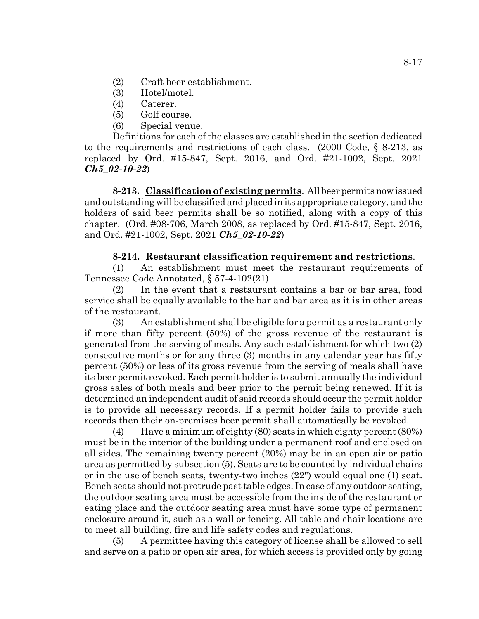- (2) Craft beer establishment.
- (3) Hotel/motel.
- (4) Caterer.
- (5) Golf course.
- (6) Special venue.

Definitions for each of the classes are established in the section dedicated to the requirements and restrictions of each class. (2000 Code, § 8-213, as replaced by Ord. #15-847, Sept. 2016, and Ord. #21-1002, Sept. 2021 *Ch5\_02-10-22*)

**8-213. Classification of existing permits**. All beer permits now issued and outstanding will be classified and placed in its appropriate category, and the holders of said beer permits shall be so notified, along with a copy of this chapter. (Ord. #08-706, March 2008, as replaced by Ord. #15-847, Sept. 2016, and Ord. #21-1002, Sept. 2021 *Ch5\_02-10-22*)

## **8-214. Restaurant classification requirement and restrictions**.

(1) An establishment must meet the restaurant requirements of Tennessee Code Annotated, § 57-4-102(21).

(2) In the event that a restaurant contains a bar or bar area, food service shall be equally available to the bar and bar area as it is in other areas of the restaurant.

(3) An establishment shall be eligible for a permit as a restaurant only if more than fifty percent (50%) of the gross revenue of the restaurant is generated from the serving of meals. Any such establishment for which two (2) consecutive months or for any three (3) months in any calendar year has fifty percent (50%) or less of its gross revenue from the serving of meals shall have its beer permit revoked. Each permit holder is to submit annually the individual gross sales of both meals and beer prior to the permit being renewed. If it is determined an independent audit of said records should occur the permit holder is to provide all necessary records. If a permit holder fails to provide such records then their on-premises beer permit shall automatically be revoked.

(4) Have a minimum of eighty (80) seats in which eighty percent (80%) must be in the interior of the building under a permanent roof and enclosed on all sides. The remaining twenty percent (20%) may be in an open air or patio area as permitted by subsection (5). Seats are to be counted by individual chairs or in the use of bench seats, twenty-two inches (22") would equal one (1) seat. Bench seats should not protrude past table edges. In case of any outdoor seating, the outdoor seating area must be accessible from the inside of the restaurant or eating place and the outdoor seating area must have some type of permanent enclosure around it, such as a wall or fencing. All table and chair locations are to meet all building, fire and life safety codes and regulations.

(5) A permittee having this category of license shall be allowed to sell and serve on a patio or open air area, for which access is provided only by going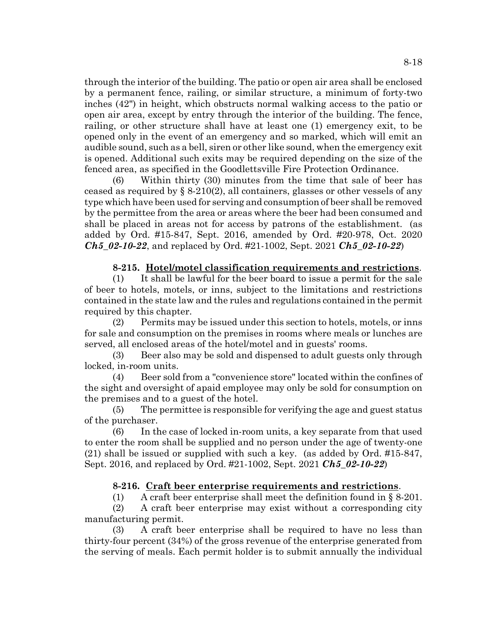through the interior of the building. The patio or open air area shall be enclosed by a permanent fence, railing, or similar structure, a minimum of forty-two inches (42") in height, which obstructs normal walking access to the patio or open air area, except by entry through the interior of the building. The fence, railing, or other structure shall have at least one (1) emergency exit, to be opened only in the event of an emergency and so marked, which will emit an audible sound, such as a bell, siren or other like sound, when the emergency exit is opened. Additional such exits may be required depending on the size of the fenced area, as specified in the Goodlettsville Fire Protection Ordinance.

(6) Within thirty (30) minutes from the time that sale of beer has ceased as required by  $\S 8-210(2)$ , all containers, glasses or other vessels of any type which have been used for serving and consumption of beer shall be removed by the permittee from the area or areas where the beer had been consumed and shall be placed in areas not for access by patrons of the establishment. (as added by Ord. #15-847, Sept. 2016, amended by Ord. #20-978, Oct. 2020 *Ch5\_02-10-22*, and replaced by Ord. #21-1002, Sept. 2021 *Ch5\_02-10-22*)

## **8-215. Hotel/motel classification requirements and restrictions**.

(1) It shall be lawful for the beer board to issue a permit for the sale of beer to hotels, motels, or inns, subject to the limitations and restrictions contained in the state law and the rules and regulations contained in the permit required by this chapter.

(2) Permits may be issued under this section to hotels, motels, or inns for sale and consumption on the premises in rooms where meals or lunches are served, all enclosed areas of the hotel/motel and in guests' rooms.

(3) Beer also may be sold and dispensed to adult guests only through locked, in-room units.

(4) Beer sold from a "convenience store" located within the confines of the sight and oversight of apaid employee may only be sold for consumption on the premises and to a guest of the hotel.

(5) The permittee is responsible for verifying the age and guest status of the purchaser.

(6) In the case of locked in-room units, a key separate from that used to enter the room shall be supplied and no person under the age of twenty-one (21) shall be issued or supplied with such a key. (as added by Ord. #15-847, Sept. 2016, and replaced by Ord. #21-1002, Sept. 2021 *Ch5\_02-10-22*)

## **8-216. Craft beer enterprise requirements and restrictions**.

(1) A craft beer enterprise shall meet the definition found in § 8-201.

(2) A craft beer enterprise may exist without a corresponding city manufacturing permit.

(3) A craft beer enterprise shall be required to have no less than thirty-four percent (34%) of the gross revenue of the enterprise generated from the serving of meals. Each permit holder is to submit annually the individual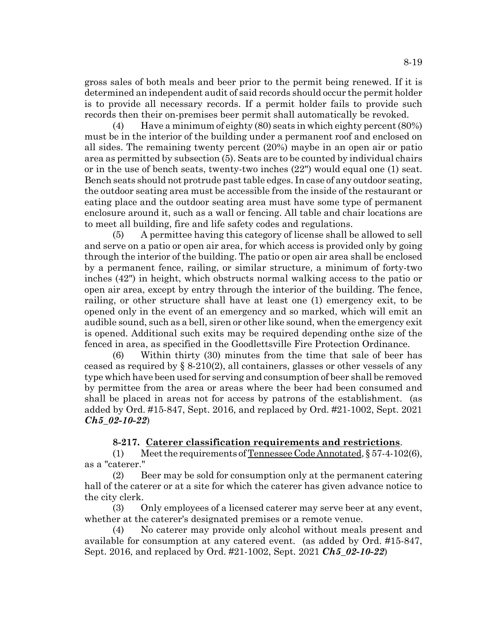gross sales of both meals and beer prior to the permit being renewed. If it is determined an independent audit of said records should occur the permit holder is to provide all necessary records. If a permit holder fails to provide such records then their on-premises beer permit shall automatically be revoked.

(4) Have a minimum of eighty (80) seats in which eighty percent (80%) must be in the interior of the building under a permanent roof and enclosed on all sides. The remaining twenty percent (20%) maybe in an open air or patio area as permitted by subsection (5). Seats are to be counted by individual chairs or in the use of bench seats, twenty-two inches (22") would equal one (1) seat. Bench seats should not protrude past table edges. In case of any outdoor seating, the outdoor seating area must be accessible from the inside of the restaurant or eating place and the outdoor seating area must have some type of permanent enclosure around it, such as a wall or fencing. All table and chair locations are to meet all building, fire and life safety codes and regulations.

(5) A permittee having this category of license shall be allowed to sell and serve on a patio or open air area, for which access is provided only by going through the interior of the building. The patio or open air area shall be enclosed by a permanent fence, railing, or similar structure, a minimum of forty-two inches (42") in height, which obstructs normal walking access to the patio or open air area, except by entry through the interior of the building. The fence, railing, or other structure shall have at least one (1) emergency exit, to be opened only in the event of an emergency and so marked, which will emit an audible sound, such as a bell, siren or other like sound, when the emergency exit is opened. Additional such exits may be required depending onthe size of the fenced in area, as specified in the Goodlettsville Fire Protection Ordinance.

(6) Within thirty (30) minutes from the time that sale of beer has ceased as required by  $\S 8-210(2)$ , all containers, glasses or other vessels of any type which have been used for serving and consumption of beer shall be removed by permittee from the area or areas where the beer had been consumed and shall be placed in areas not for access by patrons of the establishment. (as added by Ord. #15-847, Sept. 2016, and replaced by Ord. #21-1002, Sept. 2021 *Ch5\_02-10-22*)

## **8-217. Caterer classification requirements and restrictions**.

(1) Meet the requirements of Tennessee Code Annotated, § 57-4-102(6), as a "caterer."

(2) Beer may be sold for consumption only at the permanent catering hall of the caterer or at a site for which the caterer has given advance notice to the city clerk.

(3) Only employees of a licensed caterer may serve beer at any event, whether at the caterer's designated premises or a remote venue.

(4) No caterer may provide only alcohol without meals present and available for consumption at any catered event. (as added by Ord. #15-847, Sept. 2016, and replaced by Ord. #21-1002, Sept. 2021 *Ch5\_02-10-22*)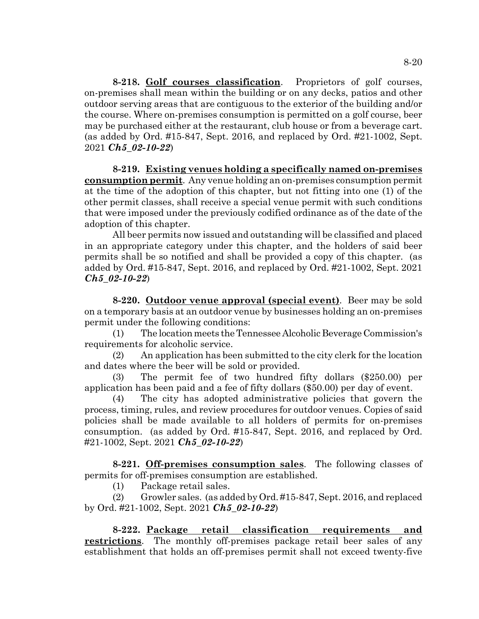**8-218. Golf courses classification**. Proprietors of golf courses, on-premises shall mean within the building or on any decks, patios and other outdoor serving areas that are contiguous to the exterior of the building and/or the course. Where on-premises consumption is permitted on a golf course, beer may be purchased either at the restaurant, club house or from a beverage cart. (as added by Ord. #15-847, Sept. 2016, and replaced by Ord. #21-1002, Sept. 2021 *Ch5\_02-10-22*)

**8-219. Existing venues holding a specifically named on-premises consumption permit**. Any venue holding an on-premises consumption permit at the time of the adoption of this chapter, but not fitting into one (1) of the other permit classes, shall receive a special venue permit with such conditions that were imposed under the previously codified ordinance as of the date of the adoption of this chapter.

All beer permits now issued and outstanding will be classified and placed in an appropriate category under this chapter, and the holders of said beer permits shall be so notified and shall be provided a copy of this chapter. (as added by Ord. #15-847, Sept. 2016, and replaced by Ord. #21-1002, Sept. 2021 *Ch5\_02-10-22*)

**8-220. Outdoor venue approval (special event)**. Beer may be sold on a temporary basis at an outdoor venue by businesses holding an on-premises permit under the following conditions:

(1) The location meets the Tennessee Alcoholic Beverage Commission's requirements for alcoholic service.

(2) An application has been submitted to the city clerk for the location and dates where the beer will be sold or provided.

(3) The permit fee of two hundred fifty dollars (\$250.00) per application has been paid and a fee of fifty dollars (\$50.00) per day of event.

(4) The city has adopted administrative policies that govern the process, timing, rules, and review procedures for outdoor venues. Copies of said policies shall be made available to all holders of permits for on-premises consumption. (as added by Ord. #15-847, Sept. 2016, and replaced by Ord. #21-1002, Sept. 2021 *Ch5\_02-10-22*)

**8-221. Off-premises consumption sales**. The following classes of permits for off-premises consumption are established.

(1) Package retail sales.

(2) Growler sales. (as added by Ord. #15-847, Sept. 2016, and replaced by Ord. #21-1002, Sept. 2021 *Ch5\_02-10-22*)

**8-222. Package retail classification requirements and restrictions**. The monthly off-premises package retail beer sales of any establishment that holds an off-premises permit shall not exceed twenty-five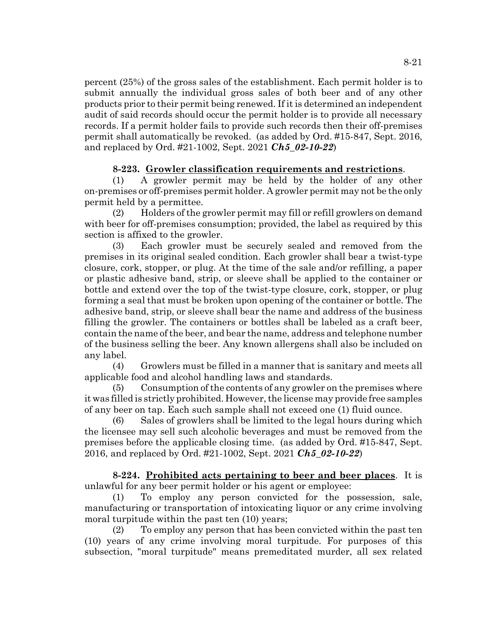percent (25%) of the gross sales of the establishment. Each permit holder is to submit annually the individual gross sales of both beer and of any other products prior to their permit being renewed. If it is determined an independent audit of said records should occur the permit holder is to provide all necessary records. If a permit holder fails to provide such records then their off-premises permit shall automatically be revoked. (as added by Ord. #15-847, Sept. 2016, and replaced by Ord. #21-1002, Sept. 2021 *Ch5\_02-10-22*)

# **8-223. Growler classification requirements and restrictions**.

(1) A growler permit may be held by the holder of any other on-premises or off-premises permit holder. A growler permit may not be the only permit held by a permittee.

(2) Holders of the growler permit may fill or refill growlers on demand with beer for off-premises consumption; provided, the label as required by this section is affixed to the growler.

(3) Each growler must be securely sealed and removed from the premises in its original sealed condition. Each growler shall bear a twist-type closure, cork, stopper, or plug. At the time of the sale and/or refilling, a paper or plastic adhesive band, strip, or sleeve shall be applied to the container or bottle and extend over the top of the twist-type closure, cork, stopper, or plug forming a seal that must be broken upon opening of the container or bottle. The adhesive band, strip, or sleeve shall bear the name and address of the business filling the growler. The containers or bottles shall be labeled as a craft beer, contain the name of the beer, and bear the name, address and telephone number of the business selling the beer. Any known allergens shall also be included on any label.

(4) Growlers must be filled in a manner that is sanitary and meets all applicable food and alcohol handling laws and standards.

(5) Consumption of the contents of any growler on the premises where it was filled is strictly prohibited. However, the license may provide free samples of any beer on tap. Each such sample shall not exceed one (1) fluid ounce.

(6) Sales of growlers shall be limited to the legal hours during which the licensee may sell such alcoholic beverages and must be removed from the premises before the applicable closing time. (as added by Ord. #15-847, Sept. 2016, and replaced by Ord. #21-1002, Sept. 2021 *Ch5\_02-10-22*)

**8-224. Prohibited acts pertaining to beer and beer places**. It is unlawful for any beer permit holder or his agent or employee:

(1) To employ any person convicted for the possession, sale, manufacturing or transportation of intoxicating liquor or any crime involving moral turpitude within the past ten (10) years;

(2) To employ any person that has been convicted within the past ten (10) years of any crime involving moral turpitude. For purposes of this subsection, "moral turpitude" means premeditated murder, all sex related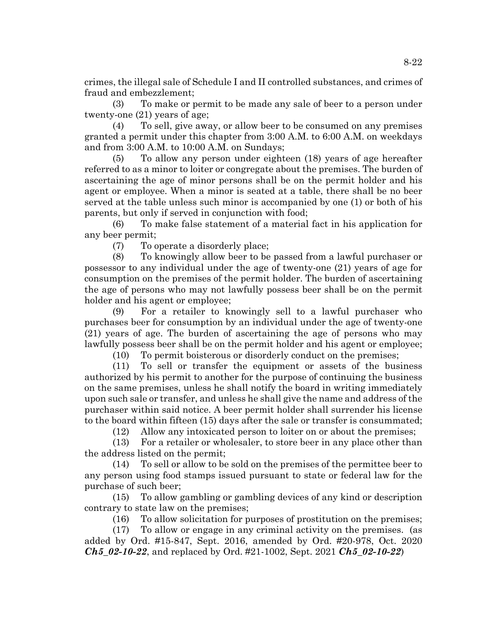crimes, the illegal sale of Schedule I and II controlled substances, and crimes of fraud and embezzlement;

(3) To make or permit to be made any sale of beer to a person under twenty-one (21) years of age;

(4) To sell, give away, or allow beer to be consumed on any premises granted a permit under this chapter from 3:00 A.M. to 6:00 A.M. on weekdays and from 3:00 A.M. to 10:00 A.M. on Sundays;

(5) To allow any person under eighteen (18) years of age hereafter referred to as a minor to loiter or congregate about the premises. The burden of ascertaining the age of minor persons shall be on the permit holder and his agent or employee. When a minor is seated at a table, there shall be no beer served at the table unless such minor is accompanied by one (1) or both of his parents, but only if served in conjunction with food;

(6) To make false statement of a material fact in his application for any beer permit;

(7) To operate a disorderly place;

(8) To knowingly allow beer to be passed from a lawful purchaser or possessor to any individual under the age of twenty-one (21) years of age for consumption on the premises of the permit holder. The burden of ascertaining the age of persons who may not lawfully possess beer shall be on the permit holder and his agent or employee;

(9) For a retailer to knowingly sell to a lawful purchaser who purchases beer for consumption by an individual under the age of twenty-one (21) years of age. The burden of ascertaining the age of persons who may lawfully possess beer shall be on the permit holder and his agent or employee;

(10) To permit boisterous or disorderly conduct on the premises;

(11) To sell or transfer the equipment or assets of the business authorized by his permit to another for the purpose of continuing the business on the same premises, unless he shall notify the board in writing immediately upon such sale or transfer, and unless he shall give the name and address of the purchaser within said notice. A beer permit holder shall surrender his license to the board within fifteen (15) days after the sale or transfer is consummated;

(12) Allow any intoxicated person to loiter on or about the premises;

(13) For a retailer or wholesaler, to store beer in any place other than the address listed on the permit;

(14) To sell or allow to be sold on the premises of the permittee beer to any person using food stamps issued pursuant to state or federal law for the purchase of such beer;

(15) To allow gambling or gambling devices of any kind or description contrary to state law on the premises;

(16) To allow solicitation for purposes of prostitution on the premises;

(17) To allow or engage in any criminal activity on the premises. (as added by Ord. #15-847, Sept. 2016, amended by Ord. #20-978, Oct. 2020 *Ch5\_02-10-22*, and replaced by Ord. #21-1002, Sept. 2021 *Ch5\_02-10-22*)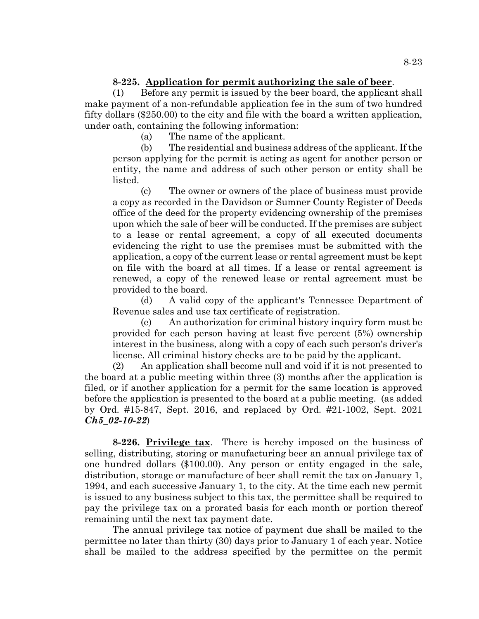## **8-225. Application for permit authorizing the sale of beer**.

(1) Before any permit is issued by the beer board, the applicant shall make payment of a non-refundable application fee in the sum of two hundred fifty dollars (\$250.00) to the city and file with the board a written application, under oath, containing the following information:

(a) The name of the applicant.

(b) The residential and business address of the applicant. If the person applying for the permit is acting as agent for another person or entity, the name and address of such other person or entity shall be listed.

(c) The owner or owners of the place of business must provide a copy as recorded in the Davidson or Sumner County Register of Deeds office of the deed for the property evidencing ownership of the premises upon which the sale of beer will be conducted. If the premises are subject to a lease or rental agreement, a copy of all executed documents evidencing the right to use the premises must be submitted with the application, a copy of the current lease or rental agreement must be kept on file with the board at all times. If a lease or rental agreement is renewed, a copy of the renewed lease or rental agreement must be provided to the board.

(d) A valid copy of the applicant's Tennessee Department of Revenue sales and use tax certificate of registration.

(e) An authorization for criminal history inquiry form must be provided for each person having at least five percent (5%) ownership interest in the business, along with a copy of each such person's driver's license. All criminal history checks are to be paid by the applicant.

(2) An application shall become null and void if it is not presented to the board at a public meeting within three (3) months after the application is filed, or if another application for a permit for the same location is approved before the application is presented to the board at a public meeting. (as added by Ord. #15-847, Sept. 2016, and replaced by Ord. #21-1002, Sept. 2021 *Ch5\_02-10-22*)

**8-226. Privilege tax**. There is hereby imposed on the business of selling, distributing, storing or manufacturing beer an annual privilege tax of one hundred dollars (\$100.00). Any person or entity engaged in the sale, distribution, storage or manufacture of beer shall remit the tax on January 1, 1994, and each successive January 1, to the city. At the time each new permit is issued to any business subject to this tax, the permittee shall be required to pay the privilege tax on a prorated basis for each month or portion thereof remaining until the next tax payment date.

The annual privilege tax notice of payment due shall be mailed to the permittee no later than thirty (30) days prior to January 1 of each year. Notice shall be mailed to the address specified by the permittee on the permit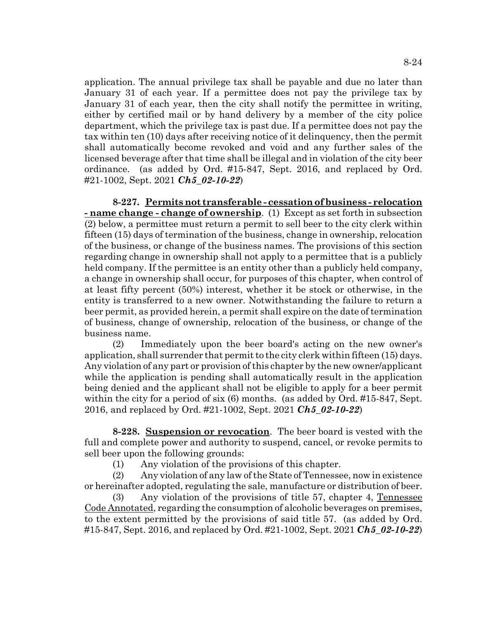application. The annual privilege tax shall be payable and due no later than January 31 of each year. If a permittee does not pay the privilege tax by January 31 of each year, then the city shall notify the permittee in writing, either by certified mail or by hand delivery by a member of the city police department, which the privilege tax is past due. If a permittee does not pay the tax within ten (10) days after receiving notice of it delinquency, then the permit shall automatically become revoked and void and any further sales of the licensed beverage after that time shall be illegal and in violation of the city beer ordinance. (as added by Ord. #15-847, Sept. 2016, and replaced by Ord. #21-1002, Sept. 2021 *Ch5\_02-10-22*)

**8-227. Permits not transferable - cessation of business - relocation - name change - change of ownership**. (1) Except as set forth in subsection (2) below, a permittee must return a permit to sell beer to the city clerk within fifteen (15) days of termination of the business, change in ownership, relocation of the business, or change of the business names. The provisions of this section regarding change in ownership shall not apply to a permittee that is a publicly held company. If the permittee is an entity other than a publicly held company, a change in ownership shall occur, for purposes of this chapter, when control of at least fifty percent (50%) interest, whether it be stock or otherwise, in the entity is transferred to a new owner. Notwithstanding the failure to return a beer permit, as provided herein, a permit shall expire on the date of termination of business, change of ownership, relocation of the business, or change of the business name.

(2) Immediately upon the beer board's acting on the new owner's application, shall surrender that permit to the city clerk within fifteen (15) days. Any violation of any part or provision of this chapter by the new owner/applicant while the application is pending shall automatically result in the application being denied and the applicant shall not be eligible to apply for a beer permit within the city for a period of six (6) months. (as added by Ord. #15-847, Sept. 2016, and replaced by Ord. #21-1002, Sept. 2021 *Ch5\_02-10-22*)

**8-228. Suspension or revocation**. The beer board is vested with the full and complete power and authority to suspend, cancel, or revoke permits to sell beer upon the following grounds:

(1) Any violation of the provisions of this chapter.

(2) Any violation of any law of the State of Tennessee, now in existence or hereinafter adopted, regulating the sale, manufacture or distribution of beer.

(3) Any violation of the provisions of title 57, chapter 4, Tennessee Code Annotated, regarding the consumption of alcoholic beverages on premises, to the extent permitted by the provisions of said title 57. (as added by Ord. #15-847, Sept. 2016, and replaced by Ord. #21-1002, Sept. 2021 *Ch5\_02-10-22*)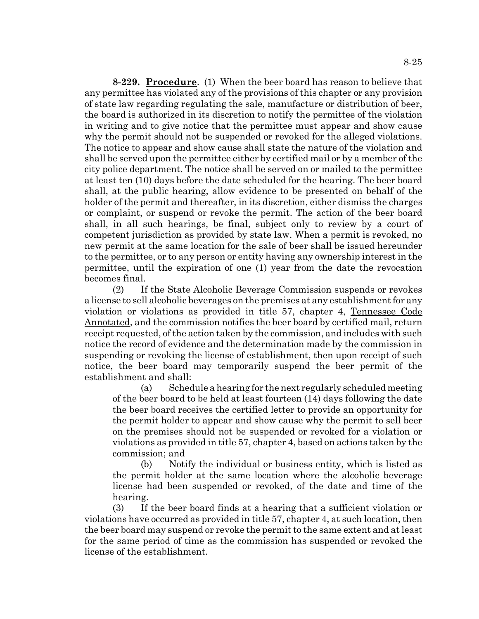**8-229. Procedure**. (1) When the beer board has reason to believe that any permittee has violated any of the provisions of this chapter or any provision of state law regarding regulating the sale, manufacture or distribution of beer, the board is authorized in its discretion to notify the permittee of the violation in writing and to give notice that the permittee must appear and show cause why the permit should not be suspended or revoked for the alleged violations. The notice to appear and show cause shall state the nature of the violation and shall be served upon the permittee either by certified mail or by a member of the city police department. The notice shall be served on or mailed to the permittee at least ten (10) days before the date scheduled for the hearing. The beer board shall, at the public hearing, allow evidence to be presented on behalf of the holder of the permit and thereafter, in its discretion, either dismiss the charges or complaint, or suspend or revoke the permit. The action of the beer board shall, in all such hearings, be final, subject only to review by a court of competent jurisdiction as provided by state law. When a permit is revoked, no new permit at the same location for the sale of beer shall be issued hereunder to the permittee, or to any person or entity having any ownership interest in the permittee, until the expiration of one (1) year from the date the revocation becomes final.

(2) If the State Alcoholic Beverage Commission suspends or revokes a license to sell alcoholic beverages on the premises at any establishment for any violation or violations as provided in title 57, chapter 4, Tennessee Code Annotated, and the commission notifies the beer board by certified mail, return receipt requested, of the action taken by the commission, and includes with such notice the record of evidence and the determination made by the commission in suspending or revoking the license of establishment, then upon receipt of such notice, the beer board may temporarily suspend the beer permit of the establishment and shall:

(a) Schedule a hearing for the next regularly scheduled meeting of the beer board to be held at least fourteen (14) days following the date the beer board receives the certified letter to provide an opportunity for the permit holder to appear and show cause why the permit to sell beer on the premises should not be suspended or revoked for a violation or violations as provided in title 57, chapter 4, based on actions taken by the commission; and

(b) Notify the individual or business entity, which is listed as the permit holder at the same location where the alcoholic beverage license had been suspended or revoked, of the date and time of the hearing.

(3) If the beer board finds at a hearing that a sufficient violation or violations have occurred as provided in title 57, chapter 4, at such location, then the beer board may suspend or revoke the permit to the same extent and at least for the same period of time as the commission has suspended or revoked the license of the establishment.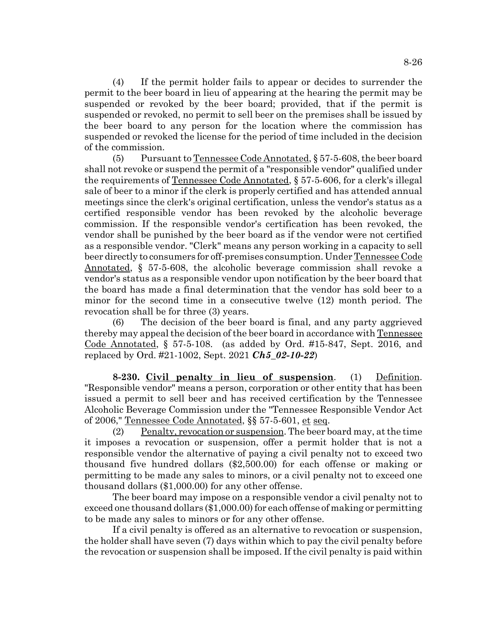(4) If the permit holder fails to appear or decides to surrender the permit to the beer board in lieu of appearing at the hearing the permit may be suspended or revoked by the beer board; provided, that if the permit is suspended or revoked, no permit to sell beer on the premises shall be issued by the beer board to any person for the location where the commission has suspended or revoked the license for the period of time included in the decision of the commission.

(5) Pursuant to Tennessee Code Annotated, § 57-5-608, the beer board shall not revoke or suspend the permit of a "responsible vendor" qualified under the requirements of Tennessee Code Annotated, § 57-5-606, for a clerk's illegal sale of beer to a minor if the clerk is properly certified and has attended annual meetings since the clerk's original certification, unless the vendor's status as a certified responsible vendor has been revoked by the alcoholic beverage commission. If the responsible vendor's certification has been revoked, the vendor shall be punished by the beer board as if the vendor were not certified as a responsible vendor. "Clerk" means any person working in a capacity to sell beer directly to consumers for off-premises consumption. Under Tennessee Code Annotated, § 57-5-608, the alcoholic beverage commission shall revoke a vendor's status as a responsible vendor upon notification by the beer board that the board has made a final determination that the vendor has sold beer to a minor for the second time in a consecutive twelve (12) month period. The revocation shall be for three (3) years.

(6) The decision of the beer board is final, and any party aggrieved thereby may appeal the decision of the beer board in accordance with Tennessee Code Annotated, § 57-5-108. (as added by Ord. #15-847, Sept. 2016, and replaced by Ord. #21-1002, Sept. 2021 *Ch5\_02-10-22*)

**8-230. Civil penalty in lieu of suspension**. (1) Definition. "Responsible vendor" means a person, corporation or other entity that has been issued a permit to sell beer and has received certification by the Tennessee Alcoholic Beverage Commission under the "Tennessee Responsible Vendor Act of 2006," Tennessee Code Annotated, §§ 57-5-601, et seq.

(2) Penalty, revocation or suspension. The beer board may, at the time it imposes a revocation or suspension, offer a permit holder that is not a responsible vendor the alternative of paying a civil penalty not to exceed two thousand five hundred dollars (\$2,500.00) for each offense or making or permitting to be made any sales to minors, or a civil penalty not to exceed one thousand dollars (\$1,000.00) for any other offense.

The beer board may impose on a responsible vendor a civil penalty not to exceed one thousand dollars (\$1,000.00) for each offense of making or permitting to be made any sales to minors or for any other offense.

If a civil penalty is offered as an alternative to revocation or suspension, the holder shall have seven (7) days within which to pay the civil penalty before the revocation or suspension shall be imposed. If the civil penalty is paid within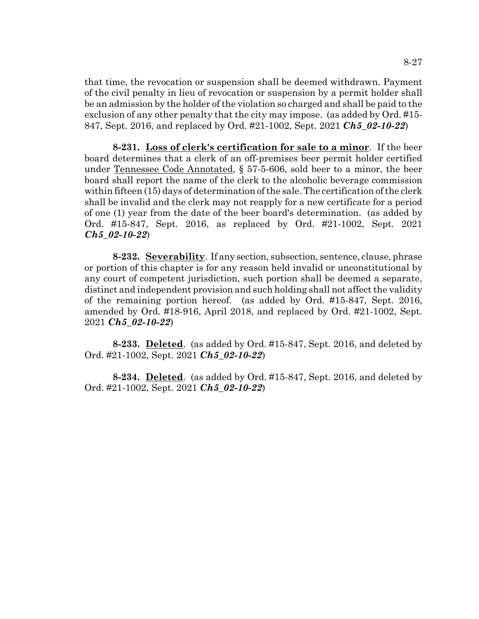that time, the revocation or suspension shall be deemed withdrawn. Payment of the civil penalty in lieu of revocation or suspension by a permit holder shall be an admission by the holder of the violation so charged and shall be paid to the exclusion of any other penalty that the city may impose. (as added by Ord. #15- 847, Sept. 2016, and replaced by Ord. #21-1002, Sept. 2021 *Ch5\_02-10-22*)

**8-231. Loss of clerk's certification for sale to a minor**. If the beer board determines that a clerk of an off-premises beer permit holder certified under Tennessee Code Annotated, § 57-5-606, sold beer to a minor, the beer board shall report the name of the clerk to the alcoholic beverage commission within fifteen (15) days of determination of the sale. The certification of the clerk shall be invalid and the clerk may not reapply for a new certificate for a period of one (1) year from the date of the beer board's determination. (as added by Ord. #15-847, Sept. 2016, as replaced by Ord. #21-1002, Sept. 2021 *Ch5\_02-10-22*)

**8-232. Severability**. If any section, subsection, sentence, clause, phrase or portion of this chapter is for any reason held invalid or unconstitutional by any court of competent jurisdiction, such portion shall be deemed a separate, distinct and independent provision and such holding shall not affect the validity of the remaining portion hereof. (as added by Ord. #15-847, Sept. 2016, amended by Ord. #18-916, April 2018, and replaced by Ord. #21-1002, Sept. 2021 *Ch5\_02-10-22*)

**8-233. Deleted**. (as added by Ord. #15-847, Sept. 2016, and deleted by Ord. #21-1002, Sept. 2021 *Ch5\_02-10-22*)

**8-234. Deleted**. (as added by Ord. #15-847, Sept. 2016, and deleted by Ord. #21-1002, Sept. 2021 *Ch5\_02-10-22*)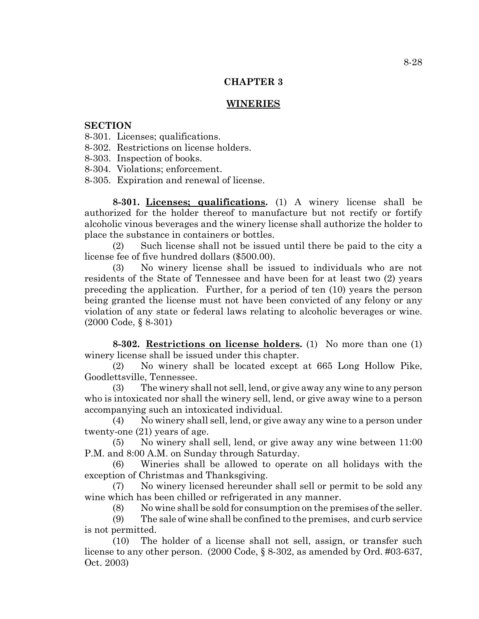## **CHAPTER 3**

### **WINERIES**

#### **SECTION**

- 8-301. Licenses; qualifications.
- 8-302. Restrictions on license holders.
- 8-303. Inspection of books.
- 8-304. Violations; enforcement.
- 8-305. Expiration and renewal of license.

**8-301. Licenses; qualifications.** (1) A winery license shall be authorized for the holder thereof to manufacture but not rectify or fortify alcoholic vinous beverages and the winery license shall authorize the holder to place the substance in containers or bottles.

(2) Such license shall not be issued until there be paid to the city a license fee of five hundred dollars (\$500.00).

(3) No winery license shall be issued to individuals who are not residents of the State of Tennessee and have been for at least two (2) years preceding the application. Further, for a period of ten (10) years the person being granted the license must not have been convicted of any felony or any violation of any state or federal laws relating to alcoholic beverages or wine. (2000 Code, § 8-301)

**8-302. Restrictions on license holders.** (1) No more than one (1) winery license shall be issued under this chapter.

(2) No winery shall be located except at 665 Long Hollow Pike, Goodlettsville, Tennessee.

(3) The winery shall not sell, lend, or give away any wine to any person who is intoxicated nor shall the winery sell, lend, or give away wine to a person accompanying such an intoxicated individual.

(4) No winery shall sell, lend, or give away any wine to a person under twenty-one (21) years of age.

(5) No winery shall sell, lend, or give away any wine between 11:00 P.M. and 8:00 A.M. on Sunday through Saturday.

(6) Wineries shall be allowed to operate on all holidays with the exception of Christmas and Thanksgiving.

(7) No winery licensed hereunder shall sell or permit to be sold any wine which has been chilled or refrigerated in any manner.

(8) No wine shall be sold for consumption on the premises of the seller.

(9) The sale of wine shall be confined to the premises, and curb service is not permitted.

(10) The holder of a license shall not sell, assign, or transfer such license to any other person. (2000 Code, § 8-302, as amended by Ord. #03-637, Oct. 2003)